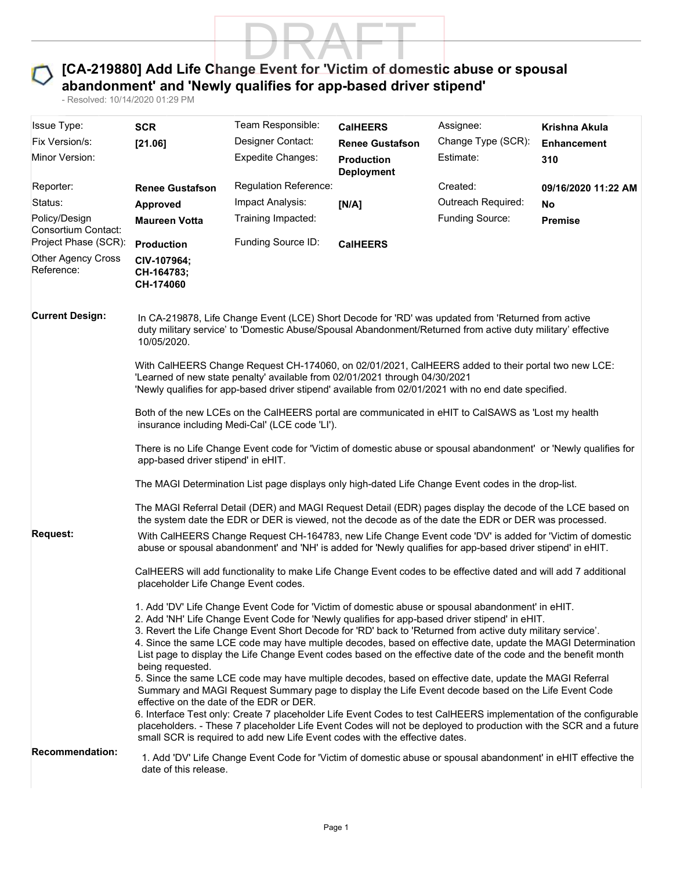

## abandonment' and 'Newly qualifies for app-based driver stipend'

|                                         | - Resolved: 10/14/2020 01:29 PM                                                                                                                                                                                                                                                                                                                                                                                                                                                                                                                                          | [CA-219880] Add Life Change Event for 'Victim of domestic abuse or spousal<br>abandonment' and 'Newly qualifies for app-based driver stipend'                                                                                                                                                                                                                                                                                                                                                        |                                           |                                 |                                     |  |  |
|-----------------------------------------|--------------------------------------------------------------------------------------------------------------------------------------------------------------------------------------------------------------------------------------------------------------------------------------------------------------------------------------------------------------------------------------------------------------------------------------------------------------------------------------------------------------------------------------------------------------------------|------------------------------------------------------------------------------------------------------------------------------------------------------------------------------------------------------------------------------------------------------------------------------------------------------------------------------------------------------------------------------------------------------------------------------------------------------------------------------------------------------|-------------------------------------------|---------------------------------|-------------------------------------|--|--|
| <b>Issue Type:</b>                      |                                                                                                                                                                                                                                                                                                                                                                                                                                                                                                                                                                          | Team Responsible:                                                                                                                                                                                                                                                                                                                                                                                                                                                                                    |                                           |                                 |                                     |  |  |
| Fix Version/s:                          | <b>SCR</b><br>[21.06]                                                                                                                                                                                                                                                                                                                                                                                                                                                                                                                                                    | Designer Contact:                                                                                                                                                                                                                                                                                                                                                                                                                                                                                    | <b>CalHEERS</b><br><b>Renee Gustafson</b> | Assignee:<br>Change Type (SCR): | Krishna Akula<br><b>Enhancement</b> |  |  |
| Minor Version:                          |                                                                                                                                                                                                                                                                                                                                                                                                                                                                                                                                                                          | <b>Expedite Changes:</b>                                                                                                                                                                                                                                                                                                                                                                                                                                                                             | <b>Production</b><br><b>Deployment</b>    | Estimate:                       | 310                                 |  |  |
| Reporter:                               | <b>Renee Gustafson</b>                                                                                                                                                                                                                                                                                                                                                                                                                                                                                                                                                   | <b>Regulation Reference:</b>                                                                                                                                                                                                                                                                                                                                                                                                                                                                         |                                           | Created:                        | 09/16/2020 11:22 AM                 |  |  |
| Status:                                 | Approved                                                                                                                                                                                                                                                                                                                                                                                                                                                                                                                                                                 | Impact Analysis:                                                                                                                                                                                                                                                                                                                                                                                                                                                                                     | [N/A]                                     | Outreach Required:              | <b>No</b>                           |  |  |
| Policy/Design<br>Consortium Contact:    | <b>Maureen Votta</b>                                                                                                                                                                                                                                                                                                                                                                                                                                                                                                                                                     | Training Impacted:                                                                                                                                                                                                                                                                                                                                                                                                                                                                                   |                                           | <b>Funding Source:</b>          | <b>Premise</b>                      |  |  |
| Project Phase (SCR):                    | <b>Production</b>                                                                                                                                                                                                                                                                                                                                                                                                                                                                                                                                                        | Funding Source ID:                                                                                                                                                                                                                                                                                                                                                                                                                                                                                   | <b>CalHEERS</b>                           |                                 |                                     |  |  |
| <b>Other Agency Cross</b><br>Reference: | CIV-107964;<br>CH-164783;<br>CH-174060                                                                                                                                                                                                                                                                                                                                                                                                                                                                                                                                   |                                                                                                                                                                                                                                                                                                                                                                                                                                                                                                      |                                           |                                 |                                     |  |  |
| <b>Current Design:</b>                  | 10/05/2020.                                                                                                                                                                                                                                                                                                                                                                                                                                                                                                                                                              | In CA-219878, Life Change Event (LCE) Short Decode for 'RD' was updated from 'Returned from active<br>duty military service' to 'Domestic Abuse/Spousal Abandonment/Returned from active duty military' effective                                                                                                                                                                                                                                                                                    |                                           |                                 |                                     |  |  |
|                                         | With CalHEERS Change Request CH-174060, on 02/01/2021, CalHEERS added to their portal two new LCE:<br>'Learned of new state penalty' available from 02/01/2021 through 04/30/2021<br>'Newly qualifies for app-based driver stipend' available from 02/01/2021 with no end date specified.                                                                                                                                                                                                                                                                                |                                                                                                                                                                                                                                                                                                                                                                                                                                                                                                      |                                           |                                 |                                     |  |  |
|                                         | Both of the new LCEs on the CalHEERS portal are communicated in eHIT to CalSAWS as 'Lost my health<br>insurance including Medi-Cal' (LCE code 'LI').                                                                                                                                                                                                                                                                                                                                                                                                                     |                                                                                                                                                                                                                                                                                                                                                                                                                                                                                                      |                                           |                                 |                                     |  |  |
|                                         | There is no Life Change Event code for 'Victim of domestic abuse or spousal abandonment' or 'Newly qualifies for<br>app-based driver stipend' in eHIT.                                                                                                                                                                                                                                                                                                                                                                                                                   |                                                                                                                                                                                                                                                                                                                                                                                                                                                                                                      |                                           |                                 |                                     |  |  |
|                                         | The MAGI Determination List page displays only high-dated Life Change Event codes in the drop-list.                                                                                                                                                                                                                                                                                                                                                                                                                                                                      |                                                                                                                                                                                                                                                                                                                                                                                                                                                                                                      |                                           |                                 |                                     |  |  |
|                                         | The MAGI Referral Detail (DER) and MAGI Request Detail (EDR) pages display the decode of the LCE based on<br>the system date the EDR or DER is viewed, not the decode as of the date the EDR or DER was processed.                                                                                                                                                                                                                                                                                                                                                       |                                                                                                                                                                                                                                                                                                                                                                                                                                                                                                      |                                           |                                 |                                     |  |  |
| <b>Request:</b>                         | With CalHEERS Change Request CH-164783, new Life Change Event code 'DV' is added for 'Victim of domestic<br>abuse or spousal abandonment' and 'NH' is added for 'Newly qualifies for app-based driver stipend' in eHIT.                                                                                                                                                                                                                                                                                                                                                  |                                                                                                                                                                                                                                                                                                                                                                                                                                                                                                      |                                           |                                 |                                     |  |  |
|                                         | CalHEERS will add functionality to make Life Change Event codes to be effective dated and will add 7 additional<br>placeholder Life Change Event codes.                                                                                                                                                                                                                                                                                                                                                                                                                  |                                                                                                                                                                                                                                                                                                                                                                                                                                                                                                      |                                           |                                 |                                     |  |  |
|                                         | 1. Add 'DV' Life Change Event Code for 'Victim of domestic abuse or spousal abandonment' in eHIT.<br>2. Add 'NH' Life Change Event Code for 'Newly qualifies for app-based driver stipend' in eHIT.<br>3. Revert the Life Change Event Short Decode for 'RD' back to 'Returned from active duty military service'.<br>4. Since the same LCE code may have multiple decodes, based on effective date, update the MAGI Determination<br>List page to display the Life Change Event codes based on the effective date of the code and the benefit month<br>being requested. |                                                                                                                                                                                                                                                                                                                                                                                                                                                                                                      |                                           |                                 |                                     |  |  |
|                                         |                                                                                                                                                                                                                                                                                                                                                                                                                                                                                                                                                                          | 5. Since the same LCE code may have multiple decodes, based on effective date, update the MAGI Referral<br>Summary and MAGI Request Summary page to display the Life Event decode based on the Life Event Code<br>effective on the date of the EDR or DER.<br>6. Interface Test only: Create 7 placeholder Life Event Codes to test CalHEERS implementation of the configurable<br>placeholders. - These 7 placeholder Life Event Codes will not be deployed to production with the SCR and a future |                                           |                                 |                                     |  |  |
| <b>Recommendation:</b>                  | date of this release.                                                                                                                                                                                                                                                                                                                                                                                                                                                                                                                                                    | small SCR is required to add new Life Event codes with the effective dates.<br>1. Add 'DV' Life Change Event Code for 'Victim of domestic abuse or spousal abandonment' in eHIT effective the                                                                                                                                                                                                                                                                                                        |                                           |                                 |                                     |  |  |